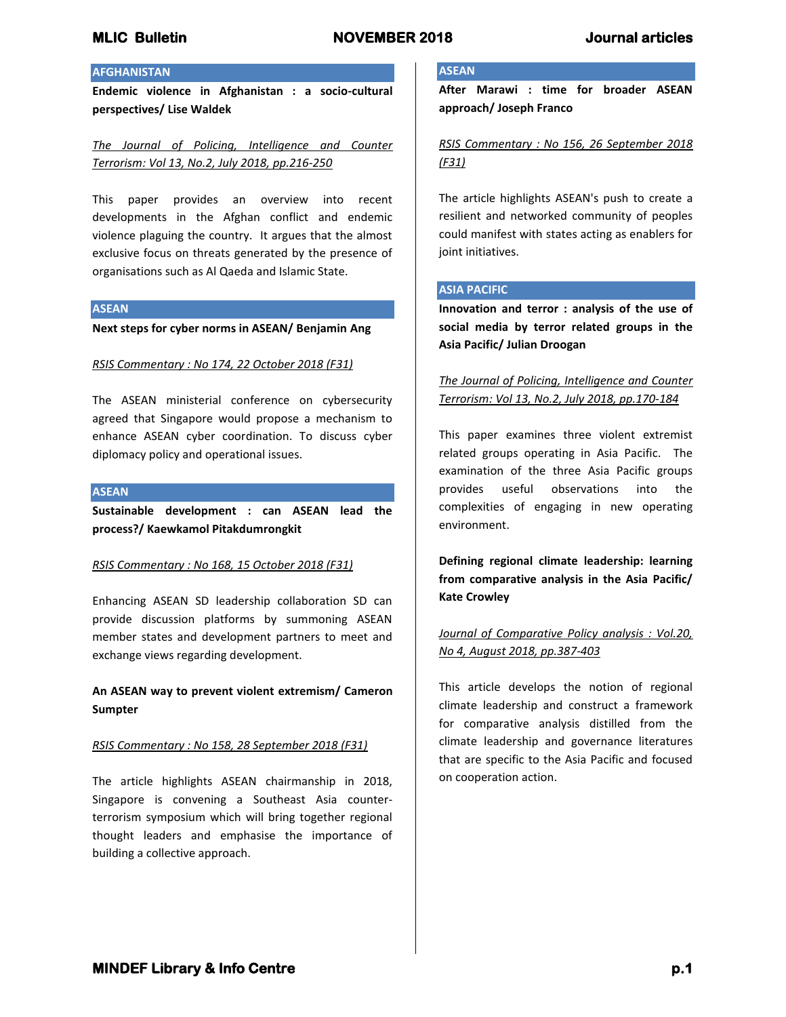## **AFGHANISTAN**

**Endemic violence in Afghanistan : a socio-cultural perspectives/ Lise Waldek**

*The Journal of Policing, Intelligence and Counter Terrorism: Vol 13, No.2, July 2018, pp.216-250*

This paper provides an overview into recent developments in the Afghan conflict and endemic violence plaguing the country. It argues that the almost exclusive focus on threats generated by the presence of organisations such as Al Qaeda and Islamic State.

#### **ASEAN**

**Next steps for cyber norms in ASEAN/ Benjamin Ang**

#### *RSIS Commentary : No 174, 22 October 2018 (F31)*

The ASEAN ministerial conference on cybersecurity agreed that Singapore would propose a mechanism to enhance ASEAN cyber coordination. To discuss cyber diplomacy policy and operational issues.

#### **ASEAN**

**Sustainable development : can ASEAN lead the process?/ Kaewkamol Pitakdumrongkit**

#### *RSIS Commentary : No 168, 15 October 2018 (F31)*

Enhancing ASEAN SD leadership collaboration SD can provide discussion platforms by summoning ASEAN member states and development partners to meet and exchange views regarding development.

**An ASEAN way to prevent violent extremism/ Cameron Sumpter**

#### *RSIS Commentary : No 158, 28 September 2018 (F31)*

The article highlights ASEAN chairmanship in 2018, Singapore is convening a Southeast Asia counterterrorism symposium which will bring together regional thought leaders and emphasise the importance of building a collective approach.

### **ASEAN**

**After Marawi : time for broader ASEAN approach/ Joseph Franco**

*RSIS Commentary : No 156, 26 September 2018 (F31)*

The article highlights ASEAN's push to create a resilient and networked community of peoples could manifest with states acting as enablers for joint initiatives.

#### **ASIA PACIFIC**

**Innovation and terror : analysis of the use of social media by terror related groups in the Asia Pacific/ Julian Droogan**

## *The Journal of Policing, Intelligence and Counter Terrorism: Vol 13, No.2, July 2018, pp.170-184*

This paper examines three violent extremist related groups operating in Asia Pacific. The examination of the three Asia Pacific groups provides useful observations into the complexities of engaging in new operating environment.

**Defining regional climate leadership: learning from comparative analysis in the Asia Pacific/ Kate Crowley**

*Journal of Comparative Policy analysis : Vol.20, No 4, August 2018, pp.387-403*

This article develops the notion of regional climate leadership and construct a framework for comparative analysis distilled from the climate leadership and governance literatures that are specific to the Asia Pacific and focused on cooperation action.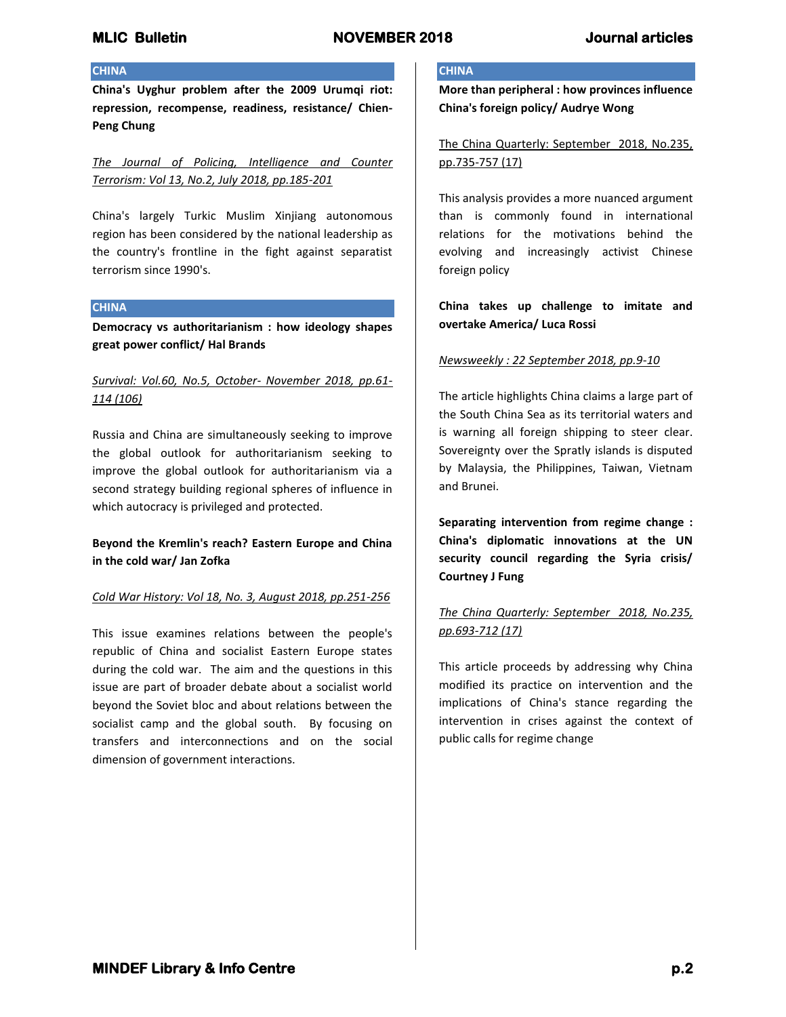## **CHINA**

**China's Uyghur problem after the 2009 Urumqi riot: repression, recompense, readiness, resistance/ Chien-Peng Chung**

*The Journal of Policing, Intelligence and Counter Terrorism: Vol 13, No.2, July 2018, pp.185-201*

China's largely Turkic Muslim Xinjiang autonomous region has been considered by the national leadership as the country's frontline in the fight against separatist terrorism since 1990's.

### **CHINA**

**Democracy vs authoritarianism : how ideology shapes great power conflict/ Hal Brands**

## *Survival: Vol.60, No.5, October- November 2018, pp.61- 114 (106)*

Russia and China are simultaneously seeking to improve the global outlook for authoritarianism seeking to improve the global outlook for authoritarianism via a second strategy building regional spheres of influence in which autocracy is privileged and protected.

# **Beyond the Kremlin's reach? Eastern Europe and China in the cold war/ Jan Zofka**

## *Cold War History: Vol 18, No. 3, August 2018, pp.251-256*

This issue examines relations between the people's republic of China and socialist Eastern Europe states during the cold war. The aim and the questions in this issue are part of broader debate about a socialist world beyond the Soviet bloc and about relations between the socialist camp and the global south. By focusing on transfers and interconnections and on the social dimension of government interactions.

## **CHINA**

**More than peripheral : how provinces influence China's foreign policy/ Audrye Wong**

The China Quarterly: September 2018, No.235, pp.735-757 (17)

This analysis provides a more nuanced argument than is commonly found in international relations for the motivations behind the evolving and increasingly activist Chinese foreign policy

**China takes up challenge to imitate and overtake America/ Luca Rossi**

## *Newsweekly : 22 September 2018, pp.9-10*

The article highlights China claims a large part of the South China Sea as its territorial waters and is warning all foreign shipping to steer clear. Sovereignty over the Spratly islands is disputed by Malaysia, the Philippines, Taiwan, Vietnam and Brunei.

**Separating intervention from regime change : China's diplomatic innovations at the UN security council regarding the Syria crisis/ Courtney J Fung**

# *The China Quarterly: September 2018, No.235, pp.693-712 (17)*

This article proceeds by addressing why China modified its practice on intervention and the implications of China's stance regarding the intervention in crises against the context of public calls for regime change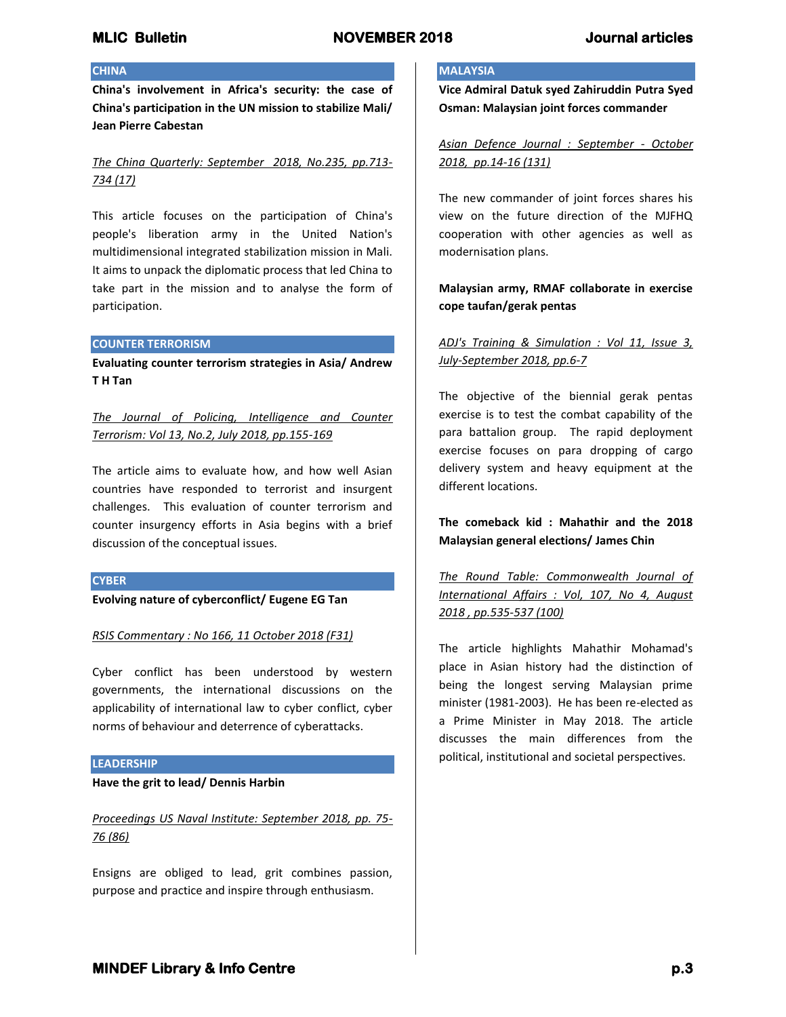## **CHINA**

**China's involvement in Africa's security: the case of China's participation in the UN mission to stabilize Mali/ Jean Pierre Cabestan**

*The China Quarterly: September 2018, No.235, pp.713- 734 (17)*

This article focuses on the participation of China's people's liberation army in the United Nation's multidimensional integrated stabilization mission in Mali. It aims to unpack the diplomatic process that led China to take part in the mission and to analyse the form of participation.

#### **COUNTER TERRORISM**

**Evaluating counter terrorism strategies in Asia/ Andrew T H Tan**

*The Journal of Policing, Intelligence and Counter Terrorism: Vol 13, No.2, July 2018, pp.155-169*

The article aims to evaluate how, and how well Asian countries have responded to terrorist and insurgent challenges. This evaluation of counter terrorism and counter insurgency efforts in Asia begins with a brief discussion of the conceptual issues.

#### **CYBER**

**Evolving nature of cyberconflict/ Eugene EG Tan**

*RSIS Commentary : No 166, 11 October 2018 (F31)*

Cyber conflict has been understood by western governments, the international discussions on the applicability of international law to cyber conflict, cyber norms of behaviour and deterrence of cyberattacks.

### **LEADERSHIP**

#### **Have the grit to lead/ Dennis Harbin**

# *Proceedings US Naval Institute: September 2018, pp. 75- 76 (86)*

Ensigns are obliged to lead, grit combines passion, purpose and practice and inspire through enthusiasm.

## **MALAYSIA**

**Vice Admiral Datuk syed Zahiruddin Putra Syed Osman: Malaysian joint forces commander**

*Asian Defence Journal : September - October 2018, pp.14-16 (131)*

The new commander of joint forces shares his view on the future direction of the MJFHQ cooperation with other agencies as well as modernisation plans.

# **Malaysian army, RMAF collaborate in exercise cope taufan/gerak pentas**

# *ADJ's Training & Simulation : Vol 11, Issue 3, July-September 2018, pp.6-7*

The objective of the biennial gerak pentas exercise is to test the combat capability of the para battalion group. The rapid deployment exercise focuses on para dropping of cargo delivery system and heavy equipment at the different locations.

**The comeback kid : Mahathir and the 2018 Malaysian general elections/ James Chin**

*The Round Table: Commonwealth Journal of International Affairs : Vol, 107, No 4, August 2018 , pp.535-537 (100)*

The article highlights Mahathir Mohamad's place in Asian history had the distinction of being the longest serving Malaysian prime minister (1981-2003). He has been re-elected as a Prime Minister in May 2018. The article discusses the main differences from the political, institutional and societal perspectives.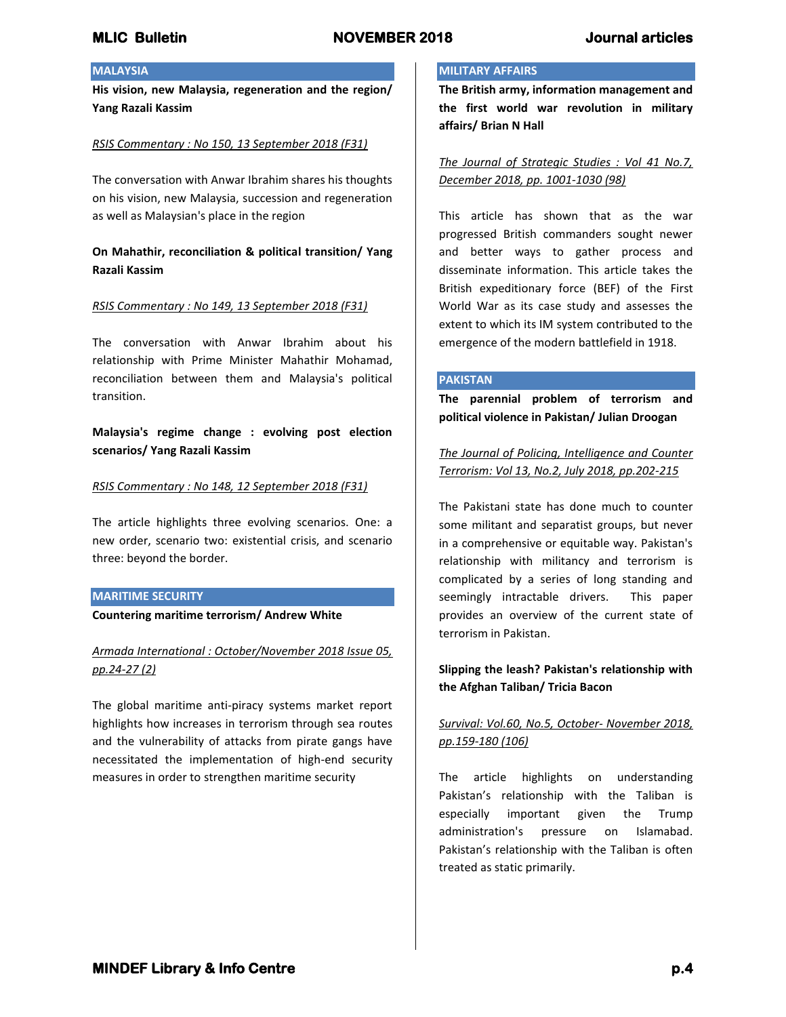## **MALAYSIA**

**His vision, new Malaysia, regeneration and the region/ Yang Razali Kassim**

#### *RSIS Commentary : No 150, 13 September 2018 (F31)*

The conversation with Anwar Ibrahim shares his thoughts on his vision, new Malaysia, succession and regeneration as well as Malaysian's place in the region

## **On Mahathir, reconciliation & political transition/ Yang Razali Kassim**

#### *RSIS Commentary : No 149, 13 September 2018 (F31)*

The conversation with Anwar Ibrahim about his relationship with Prime Minister Mahathir Mohamad, reconciliation between them and Malaysia's political transition.

**Malaysia's regime change : evolving post election scenarios/ Yang Razali Kassim**

#### *RSIS Commentary : No 148, 12 September 2018 (F31)*

The article highlights three evolving scenarios. One: a new order, scenario two: existential crisis, and scenario three: beyond the border.

#### **MARITIME SECURITY**

**Countering maritime terrorism/ Andrew White**

# *Armada International : October/November 2018 Issue 05, pp.24-27 (2)*

The global maritime anti-piracy systems market report highlights how increases in terrorism through sea routes and the vulnerability of attacks from pirate gangs have necessitated the implementation of high-end security measures in order to strengthen maritime security

## **MILITARY AFFAIRS**

**The British army, information management and the first world war revolution in military affairs/ Brian N Hall**

*The Journal of Strategic Studies : Vol 41 No.7, December 2018, pp. 1001-1030 (98)*

This article has shown that as the war progressed British commanders sought newer and better ways to gather process and disseminate information. This article takes the British expeditionary force (BEF) of the First World War as its case study and assesses the extent to which its IM system contributed to the emergence of the modern battlefield in 1918.

#### **PAKISTAN**

**The parennial problem of terrorism and political violence in Pakistan/ Julian Droogan**

*The Journal of Policing, Intelligence and Counter Terrorism: Vol 13, No.2, July 2018, pp.202-215*

The Pakistani state has done much to counter some militant and separatist groups, but never in a comprehensive or equitable way. Pakistan's relationship with militancy and terrorism is complicated by a series of long standing and seemingly intractable drivers. This paper provides an overview of the current state of terrorism in Pakistan.

## **Slipping the leash? Pakistan's relationship with the Afghan Taliban/ Tricia Bacon**

# *Survival: Vol.60, No.5, October- November 2018, pp.159-180 (106)*

The article highlights on understanding Pakistan's relationship with the Taliban is especially important given the Trump administration's pressure on Islamabad. Pakistan's relationship with the Taliban is often treated as static primarily.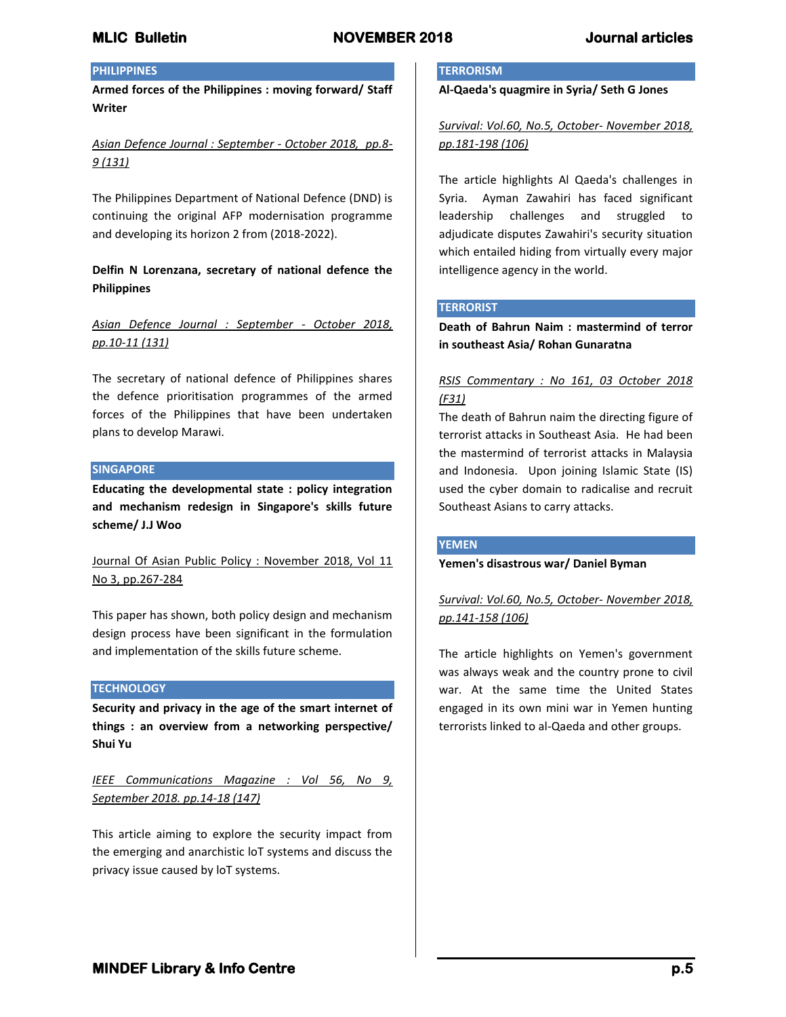# **PHILIPPINES**

**Armed forces of the Philippines : moving forward/ Staff Writer**

*Asian Defence Journal : September - October 2018, pp.8- 9 (131)*

The Philippines Department of National Defence (DND) is continuing the original AFP modernisation programme and developing its horizon 2 from (2018-2022).

## **Delfin N Lorenzana, secretary of national defence the Philippines**

*Asian Defence Journal : September - October 2018, pp.10-11 (131)*

The secretary of national defence of Philippines shares the defence prioritisation programmes of the armed forces of the Philippines that have been undertaken plans to develop Marawi.

#### **SINGAPORE**

**Educating the developmental state : policy integration and mechanism redesign in Singapore's skills future scheme/ J.J Woo**

Journal Of Asian Public Policy : November 2018, Vol 11 No 3, pp.267-284

This paper has shown, both policy design and mechanism design process have been significant in the formulation and implementation of the skills future scheme.

#### **TECHNOLOGY**

**Security and privacy in the age of the smart internet of things : an overview from a networking perspective/ Shui Yu**

*IEEE Communications Magazine : Vol 56, No 9, September 2018. pp.14-18 (147)*

This article aiming to explore the security impact from the emerging and anarchistic loT systems and discuss the privacy issue caused by loT systems.

#### **TERRORISM**

**Al-Qaeda's quagmire in Syria/ Seth G Jones**

*Survival: Vol.60, No.5, October- November 2018, pp.181-198 (106)*

The article highlights Al Qaeda's challenges in Syria. Ayman Zawahiri has faced significant leadership challenges and struggled to adjudicate disputes Zawahiri's security situation which entailed hiding from virtually every major intelligence agency in the world.

#### **TERRORIST**

**Death of Bahrun Naim : mastermind of terror in southeast Asia/ Rohan Gunaratna**

# *RSIS Commentary : No 161, 03 October 2018 (F31)*

The death of Bahrun naim the directing figure of terrorist attacks in Southeast Asia. He had been the mastermind of terrorist attacks in Malaysia and Indonesia. Upon joining Islamic State (IS) used the cyber domain to radicalise and recruit Southeast Asians to carry attacks.

#### **YEMEN**

#### **Yemen's disastrous war/ Daniel Byman**

*Survival: Vol.60, No.5, October- November 2018, pp.141-158 (106)*

The article highlights on Yemen's government was always weak and the country prone to civil war. At the same time the United States engaged in its own mini war in Yemen hunting terrorists linked to al-Qaeda and other groups.